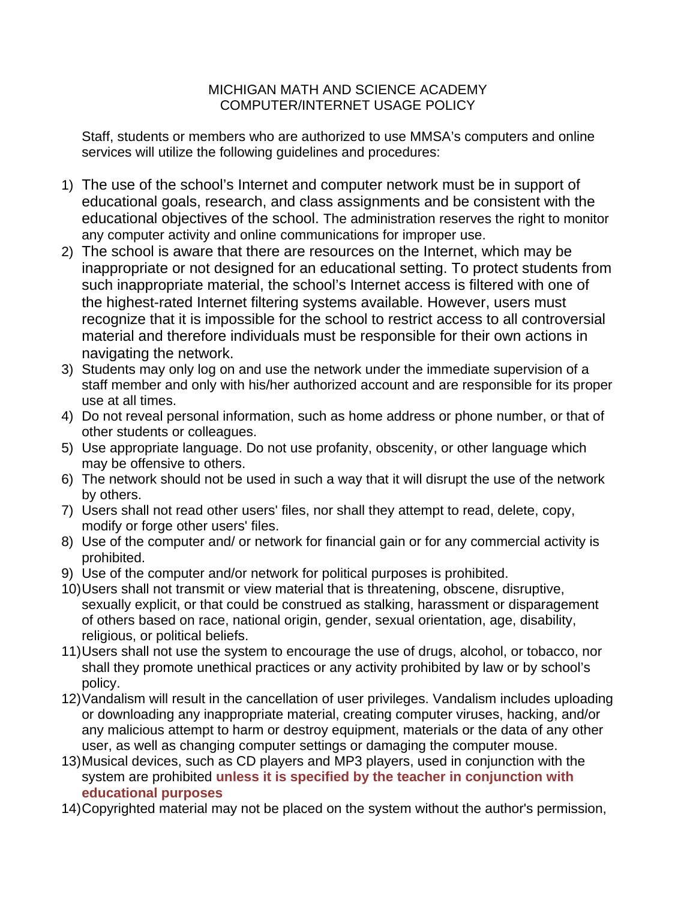## MICHIGAN MATH AND SCIENCE ACADEMY COMPUTER/INTERNET USAGE POLICY

Staff, students or members who are authorized to use MMSA's computers and online services will utilize the following guidelines and procedures:

- 1) The use of the school's Internet and computer network must be in support of educational goals, research, and class assignments and be consistent with the educational objectives of the school. The administration reserves the right to monitor any computer activity and online communications for improper use.
- 2) The school is aware that there are resources on the Internet, which may be inappropriate or not designed for an educational setting. To protect students from such inappropriate material, the school's Internet access is filtered with one of the highest-rated Internet filtering systems available. However, users must recognize that it is impossible for the school to restrict access to all controversial material and therefore individuals must be responsible for their own actions in navigating the network.
- 3) Students may only log on and use the network under the immediate supervision of a staff member and only with his/her authorized account and are responsible for its proper use at all times.
- 4) Do not reveal personal information, such as home address or phone number, or that of other students or colleagues.
- 5) Use appropriate language. Do not use profanity, obscenity, or other language which may be offensive to others.
- 6) The network should not be used in such a way that it will disrupt the use of the network by others.
- 7) Users shall not read other users' files, nor shall they attempt to read, delete, copy, modify or forge other users' files.
- 8) Use of the computer and/ or network for financial gain or for any commercial activity is prohibited.
- 9) Use of the computer and/or network for political purposes is prohibited.
- 10) Users shall not transmit or view material that is threatening, obscene, disruptive, sexually explicit, or that could be construed as stalking, harassment or disparagement of others based on race, national origin, gender, sexual orientation, age, disability, religious, or political beliefs.
- 11) Users shall not use the system to encourage the use of drugs, alcohol, or tobacco, nor shall they promote unethical practices or any activity prohibited by law or by school's policy.
- 12) Vandalism will result in the cancellation of user privileges. Vandalism includes uploading or downloading any inappropriate material, creating computer viruses, hacking, and/or any malicious attempt to harm or destroy equipment, materials or the data of any other user, as well as changing computer settings or damaging the computer mouse.
- 13) Musical devices, such as CD players and MP3 players, used in conjunction with the system are prohibited **unless it is specified by the teacher in conjunction with educational purposes**
- 14) Copyrighted material may not be placed on the system without the author's permission,